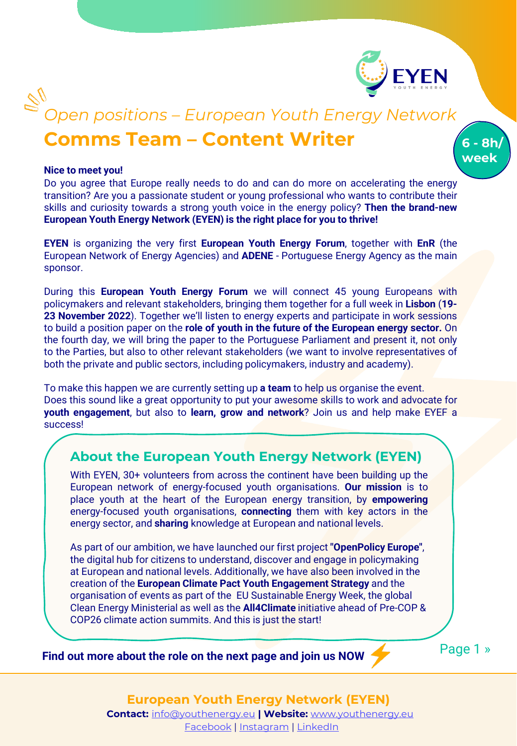

**6 - 8h/ week**

# **Comms Team – Content Writer** *Open positions – European Youth Energy Network*

### **Nice to meet you!**

Do you agree that Europe really needs to do and can do more on accelerating the energy transition? Are you a passionate student or young professional who wants to contribute their skills and curiosity towards a strong youth voice in the energy policy? **Then the brand-new European Youth Energy Network (EYEN) is the right place for you to thrive!**

**EYEN** is organizing the very first **European Youth Energy Forum**, together with **EnR** (the European Network of Energy Agencies) and **ADENE** - Portuguese Energy Agency as the main sponsor.

During this **European Youth Energy Forum** we will connect 45 young Europeans with policymakers and relevant stakeholders, bringing them together for a full week in **Lisbon** (**19- 23 November 2022**). Together we'll listen to energy experts and participate in work sessions to build a position paper on the **role of youth in the future of the European energy sector.** On the fourth day, we will bring the paper to the Portuguese Parliament and present it, not only to the Parties, but also to other relevant stakeholders (we want to involve representatives of both the private and public sectors, including policymakers, industry and academy).

To make this happen we are currently setting up **a team** to help us organise the event. Does this sound like a great opportunity to put your awesome skills to work and advocate for **youth engagement**, but also to **learn, grow and network**? Join us and help make EYEF a success!

### **About the European Youth Energy Network (EYEN)**

With EYEN, 30+ volunteers from across the continent have been building up the European network of energy-focused youth organisations. **Our mission** is to place youth at the heart of the European energy transition, by **empowering** energy-focused youth organisations, **connecting** them with key actors in the energy sector, and **sharing** knowledge at European and national levels.

As part of our ambition, we have launched our first project **"OpenPolicy Europe"**, the digital hub for citizens to understand, discover and engage in policymaking at European and national levels. Additionally, we have also been involved in the creation of the **European Climate Pact Youth Engagement Strategy** and the organisation of events as part of the EU Sustainable Energy Week, the global Clean Energy Ministerial as well as the **All4Climate** initiative ahead of Pre-COP & COP26 climate action summits. And this is just the start!

**Find out more about the role on the next page and join us NOW** 

Page 1 »

**European Youth Energy Network (EYEN) Contact:** [info@youthenergy.eu](mailto:info@youthenergy.eu) **| Website:** [www.youthenergy.eu](http://www.youthenergy.eu/)

#### [Facebook](https://www.facebook.com/EYENYouthEnergy) | [Instagram](https://www.instagram.com/eyen_youthenergy/) | [LinkedIn](https://www.linkedin.com/company/eyenyouthenergy/)